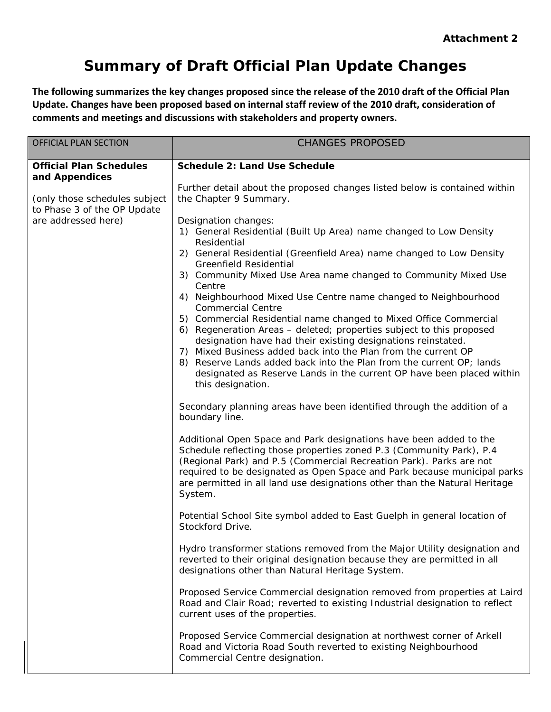**The following summarizes the key changes proposed since the release of the 2010 draft of the Official Plan Update. Changes have been proposed based on internal staff review of the 2010 draft, consideration of comments and meetings and discussions with stakeholders and property owners.**

| <b>OFFICIAL PLAN SECTION</b>                                                        | <b>CHANGES PROPOSED</b>                                                                                                                                                                                                                                                                                                                                                                                                                                 |
|-------------------------------------------------------------------------------------|---------------------------------------------------------------------------------------------------------------------------------------------------------------------------------------------------------------------------------------------------------------------------------------------------------------------------------------------------------------------------------------------------------------------------------------------------------|
| <b>Official Plan Schedules</b><br>and Appendices                                    | Schedule 2: Land Use Schedule                                                                                                                                                                                                                                                                                                                                                                                                                           |
| (only those schedules subject<br>to Phase 3 of the OP Update<br>are addressed here) | Further detail about the proposed changes listed below is contained within<br>the Chapter 9 Summary.                                                                                                                                                                                                                                                                                                                                                    |
|                                                                                     | Designation changes:<br>1) General Residential (Built Up Area) name changed to Low Density<br>Residential                                                                                                                                                                                                                                                                                                                                               |
|                                                                                     | 2) General Residential (Greenfield Area) name changed to Low Density<br><b>Greenfield Residential</b>                                                                                                                                                                                                                                                                                                                                                   |
|                                                                                     | 3) Community Mixed Use Area name changed to Community Mixed Use<br>Centre                                                                                                                                                                                                                                                                                                                                                                               |
|                                                                                     | 4) Neighbourhood Mixed Use Centre name changed to Neighbourhood<br><b>Commercial Centre</b>                                                                                                                                                                                                                                                                                                                                                             |
|                                                                                     | 5) Commercial Residential name changed to Mixed Office Commercial<br>6) Regeneration Areas - deleted; properties subject to this proposed<br>designation have had their existing designations reinstated.<br>Mixed Business added back into the Plan from the current OP<br>7)<br>Reserve Lands added back into the Plan from the current OP; lands<br>8)<br>designated as Reserve Lands in the current OP have been placed within<br>this designation. |
|                                                                                     | Secondary planning areas have been identified through the addition of a<br>boundary line.                                                                                                                                                                                                                                                                                                                                                               |
|                                                                                     | Additional Open Space and Park designations have been added to the<br>Schedule reflecting those properties zoned P.3 (Community Park), P.4<br>(Regional Park) and P.5 (Commercial Recreation Park). Parks are not<br>required to be designated as Open Space and Park because municipal parks<br>are permitted in all land use designations other than the Natural Heritage<br>System.                                                                  |
|                                                                                     | Potential School Site symbol added to East Guelph in general location of<br>Stockford Drive.                                                                                                                                                                                                                                                                                                                                                            |
|                                                                                     | Hydro transformer stations removed from the Major Utility designation and<br>reverted to their original designation because they are permitted in all<br>designations other than Natural Heritage System.                                                                                                                                                                                                                                               |
|                                                                                     | Proposed Service Commercial designation removed from properties at Laird<br>Road and Clair Road; reverted to existing Industrial designation to reflect<br>current uses of the properties.                                                                                                                                                                                                                                                              |
|                                                                                     | Proposed Service Commercial designation at northwest corner of Arkell<br>Road and Victoria Road South reverted to existing Neighbourhood<br>Commercial Centre designation.                                                                                                                                                                                                                                                                              |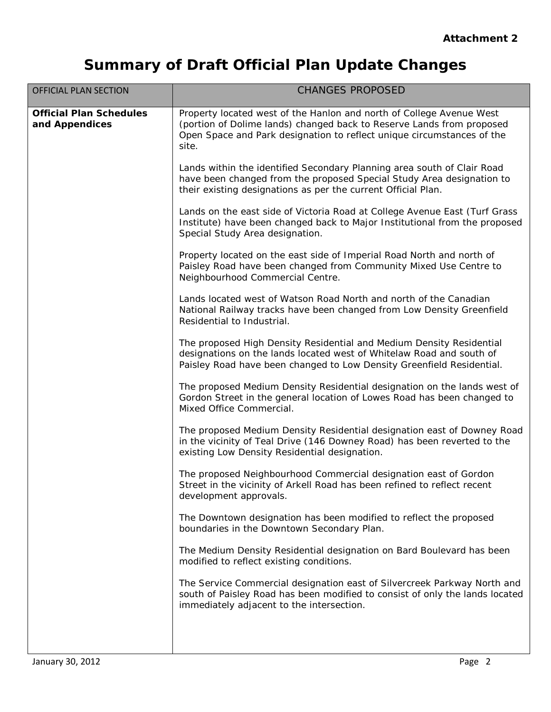| <b>OFFICIAL PLAN SECTION</b>                     | <b>CHANGES PROPOSED</b>                                                                                                                                                                                                          |
|--------------------------------------------------|----------------------------------------------------------------------------------------------------------------------------------------------------------------------------------------------------------------------------------|
| <b>Official Plan Schedules</b><br>and Appendices | Property located west of the Hanlon and north of College Avenue West<br>(portion of Dolime lands) changed back to Reserve Lands from proposed<br>Open Space and Park designation to reflect unique circumstances of the<br>site. |
|                                                  | Lands within the identified Secondary Planning area south of Clair Road<br>have been changed from the proposed Special Study Area designation to<br>their existing designations as per the current Official Plan.                |
|                                                  | Lands on the east side of Victoria Road at College Avenue East (Turf Grass<br>Institute) have been changed back to Major Institutional from the proposed<br>Special Study Area designation.                                      |
|                                                  | Property located on the east side of Imperial Road North and north of<br>Paisley Road have been changed from Community Mixed Use Centre to<br>Neighbourhood Commercial Centre.                                                   |
|                                                  | Lands located west of Watson Road North and north of the Canadian<br>National Railway tracks have been changed from Low Density Greenfield<br>Residential to Industrial.                                                         |
|                                                  | The proposed High Density Residential and Medium Density Residential<br>designations on the lands located west of Whitelaw Road and south of<br>Paisley Road have been changed to Low Density Greenfield Residential.            |
|                                                  | The proposed Medium Density Residential designation on the lands west of<br>Gordon Street in the general location of Lowes Road has been changed to<br>Mixed Office Commercial.                                                  |
|                                                  | The proposed Medium Density Residential designation east of Downey Road<br>in the vicinity of Teal Drive (146 Downey Road) has been reverted to the<br>existing Low Density Residential designation.                             |
|                                                  | The proposed Neighbourhood Commercial designation east of Gordon<br>Street in the vicinity of Arkell Road has been refined to reflect recent<br>development approvals.                                                           |
|                                                  | The Downtown designation has been modified to reflect the proposed<br>boundaries in the Downtown Secondary Plan.                                                                                                                 |
|                                                  | The Medium Density Residential designation on Bard Boulevard has been<br>modified to reflect existing conditions.                                                                                                                |
|                                                  | The Service Commercial designation east of Silvercreek Parkway North and<br>south of Paisley Road has been modified to consist of only the lands located<br>immediately adjacent to the intersection.                            |
|                                                  |                                                                                                                                                                                                                                  |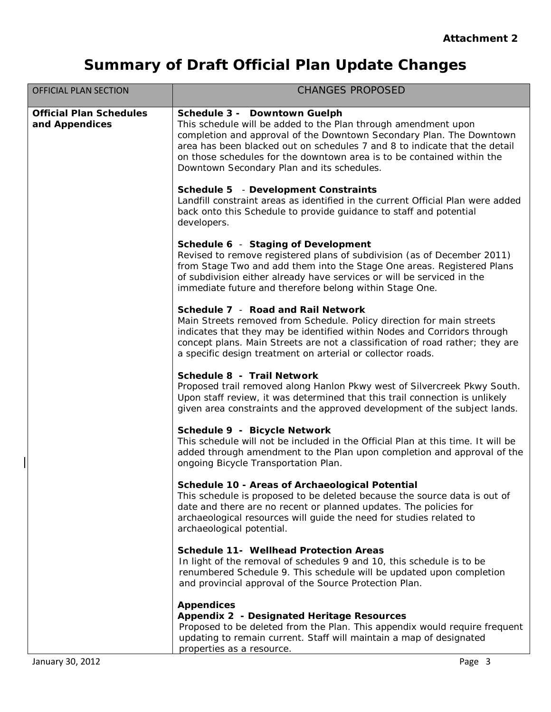| <b>OFFICIAL PLAN SECTION</b>                     | <b>CHANGES PROPOSED</b>                                                                                                                                                                                                                                                                                                                                                      |
|--------------------------------------------------|------------------------------------------------------------------------------------------------------------------------------------------------------------------------------------------------------------------------------------------------------------------------------------------------------------------------------------------------------------------------------|
| <b>Official Plan Schedules</b><br>and Appendices | Schedule 3 - Downtown Guelph<br>This schedule will be added to the Plan through amendment upon<br>completion and approval of the Downtown Secondary Plan. The Downtown<br>area has been blacked out on schedules 7 and 8 to indicate that the detail<br>on those schedules for the downtown area is to be contained within the<br>Downtown Secondary Plan and its schedules. |
|                                                  | Schedule 5 - Development Constraints<br>Landfill constraint areas as identified in the current Official Plan were added<br>back onto this Schedule to provide guidance to staff and potential<br>developers.                                                                                                                                                                 |
|                                                  | Schedule 6 - Staging of Development<br>Revised to remove registered plans of subdivision (as of December 2011)<br>from Stage Two and add them into the Stage One areas. Registered Plans<br>of subdivision either already have services or will be serviced in the<br>immediate future and therefore belong within Stage One.                                                |
|                                                  | Schedule 7 - Road and Rail Network<br>Main Streets removed from Schedule. Policy direction for main streets<br>indicates that they may be identified within Nodes and Corridors through<br>concept plans. Main Streets are not a classification of road rather; they are<br>a specific design treatment on arterial or collector roads.                                      |
|                                                  | Schedule 8 - Trail Network<br>Proposed trail removed along Hanlon Pkwy west of Silvercreek Pkwy South.<br>Upon staff review, it was determined that this trail connection is unlikely<br>given area constraints and the approved development of the subject lands.                                                                                                           |
|                                                  | Schedule 9 - Bicycle Network<br>This schedule will not be included in the Official Plan at this time. It will be<br>added through amendment to the Plan upon completion and approval of the<br>ongoing Bicycle Transportation Plan.                                                                                                                                          |
|                                                  | Schedule 10 - Areas of Archaeological Potential<br>This schedule is proposed to be deleted because the source data is out of<br>date and there are no recent or planned updates. The policies for<br>archaeological resources will guide the need for studies related to<br>archaeological potential.                                                                        |
|                                                  | <b>Schedule 11- Wellhead Protection Areas</b><br>In light of the removal of schedules 9 and 10, this schedule is to be<br>renumbered Schedule 9. This schedule will be updated upon completion<br>and provincial approval of the Source Protection Plan.                                                                                                                     |
|                                                  | <b>Appendices</b><br>Appendix 2 - Designated Heritage Resources<br>Proposed to be deleted from the Plan. This appendix would require frequent<br>updating to remain current. Staff will maintain a map of designated<br>properties as a resource.                                                                                                                            |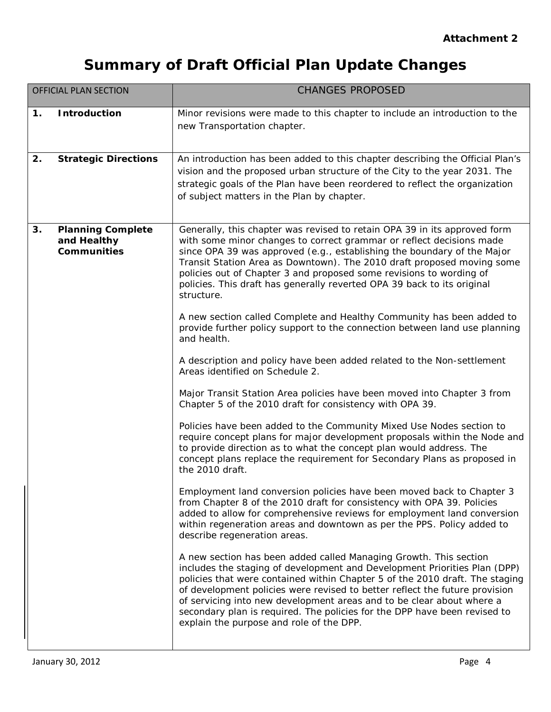|    | <b>OFFICIAL PLAN SECTION</b>                                  | <b>CHANGES PROPOSED</b>                                                                                                                                                                                                                                                                                                                                                                                                                                                                                         |
|----|---------------------------------------------------------------|-----------------------------------------------------------------------------------------------------------------------------------------------------------------------------------------------------------------------------------------------------------------------------------------------------------------------------------------------------------------------------------------------------------------------------------------------------------------------------------------------------------------|
| 1. | <b>Introduction</b>                                           | Minor revisions were made to this chapter to include an introduction to the<br>new Transportation chapter.                                                                                                                                                                                                                                                                                                                                                                                                      |
| 2. | <b>Strategic Directions</b>                                   | An introduction has been added to this chapter describing the Official Plan's<br>vision and the proposed urban structure of the City to the year 2031. The<br>strategic goals of the Plan have been reordered to reflect the organization<br>of subject matters in the Plan by chapter.                                                                                                                                                                                                                         |
| 3. | <b>Planning Complete</b><br>and Healthy<br><b>Communities</b> | Generally, this chapter was revised to retain OPA 39 in its approved form<br>with some minor changes to correct grammar or reflect decisions made<br>since OPA 39 was approved (e.g., establishing the boundary of the Major<br>Transit Station Area as Downtown). The 2010 draft proposed moving some<br>policies out of Chapter 3 and proposed some revisions to wording of<br>policies. This draft has generally reverted OPA 39 back to its original<br>structure.                                          |
|    |                                                               | A new section called Complete and Healthy Community has been added to<br>provide further policy support to the connection between land use planning<br>and health.                                                                                                                                                                                                                                                                                                                                              |
|    |                                                               | A description and policy have been added related to the Non-settlement<br>Areas identified on Schedule 2.                                                                                                                                                                                                                                                                                                                                                                                                       |
|    |                                                               | Major Transit Station Area policies have been moved into Chapter 3 from<br>Chapter 5 of the 2010 draft for consistency with OPA 39.                                                                                                                                                                                                                                                                                                                                                                             |
|    |                                                               | Policies have been added to the Community Mixed Use Nodes section to<br>require concept plans for major development proposals within the Node and<br>to provide direction as to what the concept plan would address. The<br>concept plans replace the requirement for Secondary Plans as proposed in<br>the 2010 draft.                                                                                                                                                                                         |
|    |                                                               | Employment land conversion policies have been moved back to Chapter 3<br>from Chapter 8 of the 2010 draft for consistency with OPA 39. Policies<br>added to allow for comprehensive reviews for employment land conversion<br>within regeneration areas and downtown as per the PPS. Policy added to<br>describe regeneration areas.                                                                                                                                                                            |
|    |                                                               | A new section has been added called Managing Growth. This section<br>includes the staging of development and Development Priorities Plan (DPP)<br>policies that were contained within Chapter 5 of the 2010 draft. The staging<br>of development policies were revised to better reflect the future provision<br>of servicing into new development areas and to be clear about where a<br>secondary plan is required. The policies for the DPP have been revised to<br>explain the purpose and role of the DPP. |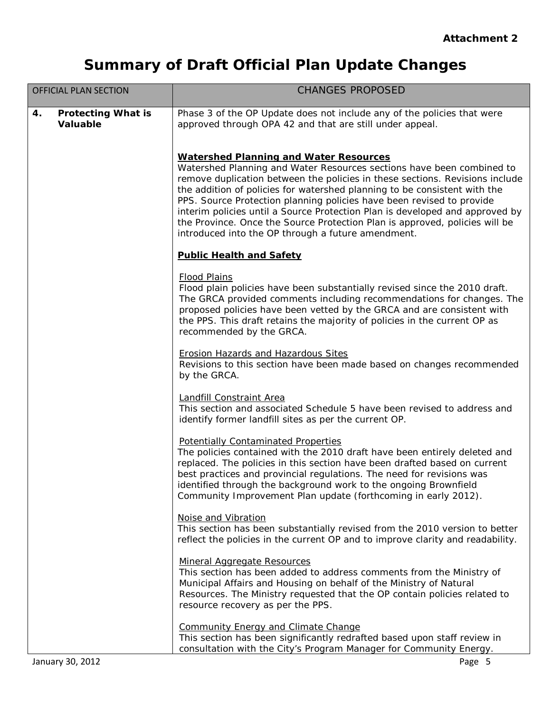| <b>OFFICIAL PLAN SECTION</b>                       | <b>CHANGES PROPOSED</b>                                                                                                                                                                                                                                                                                                                                                                                                                                                                                                                                                           |
|----------------------------------------------------|-----------------------------------------------------------------------------------------------------------------------------------------------------------------------------------------------------------------------------------------------------------------------------------------------------------------------------------------------------------------------------------------------------------------------------------------------------------------------------------------------------------------------------------------------------------------------------------|
| 4.<br><b>Protecting What is</b><br><b>Valuable</b> | Phase 3 of the OP Update does not include any of the policies that were<br>approved through OPA 42 and that are still under appeal.                                                                                                                                                                                                                                                                                                                                                                                                                                               |
|                                                    | <b>Watershed Planning and Water Resources</b><br>Watershed Planning and Water Resources sections have been combined to<br>remove duplication between the policies in these sections. Revisions include<br>the addition of policies for watershed planning to be consistent with the<br>PPS. Source Protection planning policies have been revised to provide<br>interim policies until a Source Protection Plan is developed and approved by<br>the Province. Once the Source Protection Plan is approved, policies will be<br>introduced into the OP through a future amendment. |
|                                                    | <b>Public Health and Safety</b>                                                                                                                                                                                                                                                                                                                                                                                                                                                                                                                                                   |
|                                                    | <b>Flood Plains</b><br>Flood plain policies have been substantially revised since the 2010 draft.<br>The GRCA provided comments including recommendations for changes. The<br>proposed policies have been vetted by the GRCA and are consistent with<br>the PPS. This draft retains the majority of policies in the current OP as<br>recommended by the GRCA.                                                                                                                                                                                                                     |
|                                                    | <b>Erosion Hazards and Hazardous Sites</b><br>Revisions to this section have been made based on changes recommended<br>by the GRCA.                                                                                                                                                                                                                                                                                                                                                                                                                                               |
|                                                    | Landfill Constraint Area<br>This section and associated Schedule 5 have been revised to address and<br>identify former landfill sites as per the current OP.                                                                                                                                                                                                                                                                                                                                                                                                                      |
|                                                    | <b>Potentially Contaminated Properties</b><br>The policies contained with the 2010 draft have been entirely deleted and<br>replaced. The policies in this section have been drafted based on current<br>best practices and provincial regulations. The need for revisions was<br>identified through the background work to the ongoing Brownfield<br>Community Improvement Plan update (forthcoming in early 2012).                                                                                                                                                               |
|                                                    | Noise and Vibration<br>This section has been substantially revised from the 2010 version to better<br>reflect the policies in the current OP and to improve clarity and readability.                                                                                                                                                                                                                                                                                                                                                                                              |
|                                                    | <b>Mineral Aggregate Resources</b><br>This section has been added to address comments from the Ministry of<br>Municipal Affairs and Housing on behalf of the Ministry of Natural<br>Resources. The Ministry requested that the OP contain policies related to<br>resource recovery as per the PPS.                                                                                                                                                                                                                                                                                |
|                                                    | <b>Community Energy and Climate Change</b><br>This section has been significantly redrafted based upon staff review in<br>consultation with the City's Program Manager for Community Energy.                                                                                                                                                                                                                                                                                                                                                                                      |
| January 30, 2012                                   | Page 5                                                                                                                                                                                                                                                                                                                                                                                                                                                                                                                                                                            |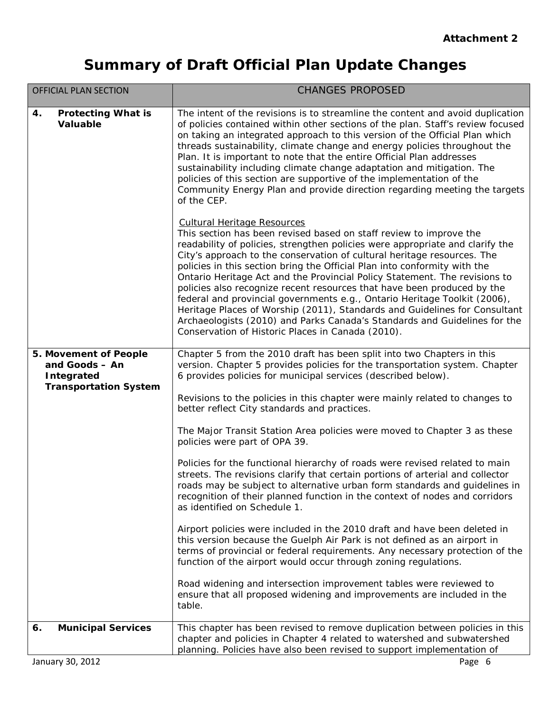| <b>OFFICIAL PLAN SECTION</b>                                                                 | <b>CHANGES PROPOSED</b>                                                                                                                                                                                                                                                                                                                                                                                                                                                                                                                                                                                                                                                                                                                                                                                 |
|----------------------------------------------------------------------------------------------|---------------------------------------------------------------------------------------------------------------------------------------------------------------------------------------------------------------------------------------------------------------------------------------------------------------------------------------------------------------------------------------------------------------------------------------------------------------------------------------------------------------------------------------------------------------------------------------------------------------------------------------------------------------------------------------------------------------------------------------------------------------------------------------------------------|
| <b>Protecting What is</b><br>4.<br><b>Valuable</b>                                           | The intent of the revisions is to streamline the content and avoid duplication<br>of policies contained within other sections of the plan. Staff's review focused<br>on taking an integrated approach to this version of the Official Plan which<br>threads sustainability, climate change and energy policies throughout the<br>Plan. It is important to note that the entire Official Plan addresses<br>sustainability including climate change adaptation and mitigation. The<br>policies of this section are supportive of the implementation of the<br>Community Energy Plan and provide direction regarding meeting the targets<br>of the CEP.                                                                                                                                                    |
|                                                                                              | <b>Cultural Heritage Resources</b><br>This section has been revised based on staff review to improve the<br>readability of policies, strengthen policies were appropriate and clarify the<br>City's approach to the conservation of cultural heritage resources. The<br>policies in this section bring the Official Plan into conformity with the<br>Ontario Heritage Act and the Provincial Policy Statement. The revisions to<br>policies also recognize recent resources that have been produced by the<br>federal and provincial governments e.g., Ontario Heritage Toolkit (2006),<br>Heritage Places of Worship (2011), Standards and Guidelines for Consultant<br>Archaeologists (2010) and Parks Canada's Standards and Guidelines for the<br>Conservation of Historic Places in Canada (2010). |
| 5. Movement of People<br>and Goods - An<br><b>Integrated</b><br><b>Transportation System</b> | Chapter 5 from the 2010 draft has been split into two Chapters in this<br>version. Chapter 5 provides policies for the transportation system. Chapter<br>6 provides policies for municipal services (described below).                                                                                                                                                                                                                                                                                                                                                                                                                                                                                                                                                                                  |
|                                                                                              | Revisions to the policies in this chapter were mainly related to changes to<br>better reflect City standards and practices.                                                                                                                                                                                                                                                                                                                                                                                                                                                                                                                                                                                                                                                                             |
|                                                                                              | The Major Transit Station Area policies were moved to Chapter 3 as these<br>policies were part of OPA 39.                                                                                                                                                                                                                                                                                                                                                                                                                                                                                                                                                                                                                                                                                               |
|                                                                                              | Policies for the functional hierarchy of roads were revised related to main<br>streets. The revisions clarify that certain portions of arterial and collector<br>roads may be subject to alternative urban form standards and guidelines in<br>recognition of their planned function in the context of nodes and corridors<br>as identified on Schedule 1.                                                                                                                                                                                                                                                                                                                                                                                                                                              |
|                                                                                              | Airport policies were included in the 2010 draft and have been deleted in<br>this version because the Guelph Air Park is not defined as an airport in<br>terms of provincial or federal requirements. Any necessary protection of the<br>function of the airport would occur through zoning regulations.                                                                                                                                                                                                                                                                                                                                                                                                                                                                                                |
|                                                                                              | Road widening and intersection improvement tables were reviewed to<br>ensure that all proposed widening and improvements are included in the<br>table.                                                                                                                                                                                                                                                                                                                                                                                                                                                                                                                                                                                                                                                  |
| <b>Municipal Services</b><br>6.<br>January 30, 2012                                          | This chapter has been revised to remove duplication between policies in this<br>chapter and policies in Chapter 4 related to watershed and subwatershed<br>planning. Policies have also been revised to support implementation of<br>Page 6                                                                                                                                                                                                                                                                                                                                                                                                                                                                                                                                                             |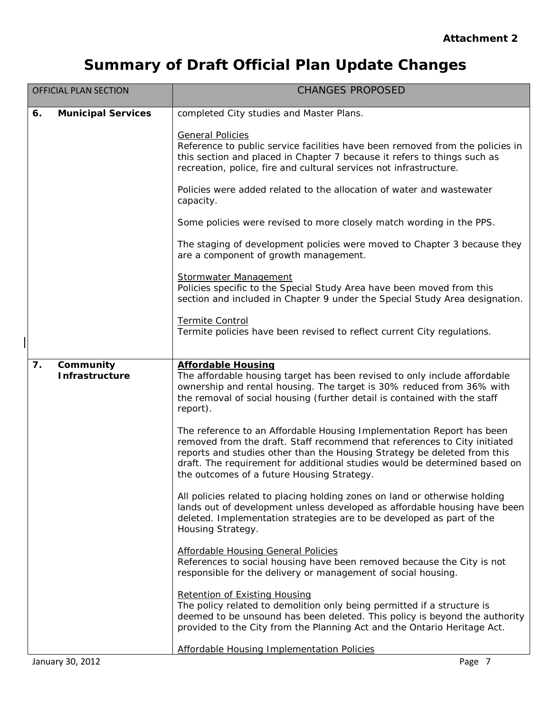|    | <b>OFFICIAL PLAN SECTION</b>       | <b>CHANGES PROPOSED</b>                                                                                                                                                                                                                                                                                                                                    |
|----|------------------------------------|------------------------------------------------------------------------------------------------------------------------------------------------------------------------------------------------------------------------------------------------------------------------------------------------------------------------------------------------------------|
| 6. | <b>Municipal Services</b>          | completed City studies and Master Plans.                                                                                                                                                                                                                                                                                                                   |
|    |                                    | <b>General Policies</b><br>Reference to public service facilities have been removed from the policies in<br>this section and placed in Chapter 7 because it refers to things such as<br>recreation, police, fire and cultural services not infrastructure.                                                                                                 |
|    |                                    | Policies were added related to the allocation of water and wastewater<br>capacity.                                                                                                                                                                                                                                                                         |
|    |                                    | Some policies were revised to more closely match wording in the PPS.                                                                                                                                                                                                                                                                                       |
|    |                                    | The staging of development policies were moved to Chapter 3 because they<br>are a component of growth management.                                                                                                                                                                                                                                          |
|    |                                    | <b>Stormwater Management</b><br>Policies specific to the Special Study Area have been moved from this<br>section and included in Chapter 9 under the Special Study Area designation.                                                                                                                                                                       |
|    |                                    | Termite Control<br>Termite policies have been revised to reflect current City regulations.                                                                                                                                                                                                                                                                 |
| 7. | Community<br><b>Infrastructure</b> | <b>Affordable Housing</b><br>The affordable housing target has been revised to only include affordable<br>ownership and rental housing. The target is 30% reduced from 36% with<br>the removal of social housing (further detail is contained with the staff<br>report).                                                                                   |
|    |                                    | The reference to an Affordable Housing Implementation Report has been<br>removed from the draft. Staff recommend that references to City initiated<br>reports and studies other than the Housing Strategy be deleted from this<br>draft. The requirement for additional studies would be determined based on<br>the outcomes of a future Housing Strategy. |
|    |                                    | All policies related to placing holding zones on land or otherwise holding<br>lands out of development unless developed as affordable housing have been<br>deleted. Implementation strategies are to be developed as part of the<br>Housing Strategy.                                                                                                      |
|    |                                    | <b>Affordable Housing General Policies</b><br>References to social housing have been removed because the City is not<br>responsible for the delivery or management of social housing.                                                                                                                                                                      |
|    |                                    | <b>Retention of Existing Housing</b><br>The policy related to demolition only being permitted if a structure is<br>deemed to be unsound has been deleted. This policy is beyond the authority<br>provided to the City from the Planning Act and the Ontario Heritage Act.                                                                                  |
|    |                                    | <b>Affordable Housing Implementation Policies</b>                                                                                                                                                                                                                                                                                                          |
|    | January 30, 2012                   | Page 7                                                                                                                                                                                                                                                                                                                                                     |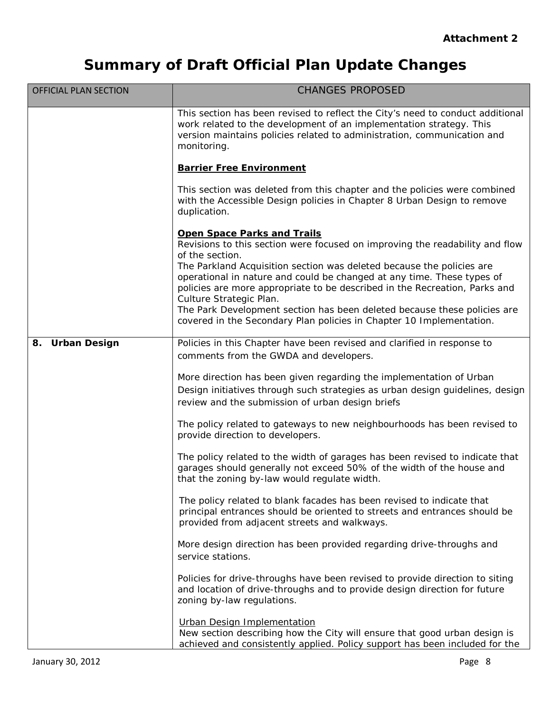| <b>OFFICIAL PLAN SECTION</b> | <b>CHANGES PROPOSED</b>                                                                                                                                                                                                                                  |
|------------------------------|----------------------------------------------------------------------------------------------------------------------------------------------------------------------------------------------------------------------------------------------------------|
|                              | This section has been revised to reflect the City's need to conduct additional<br>work related to the development of an implementation strategy. This<br>version maintains policies related to administration, communication and<br>monitoring.          |
|                              | <b>Barrier Free Environment</b>                                                                                                                                                                                                                          |
|                              | This section was deleted from this chapter and the policies were combined<br>with the Accessible Design policies in Chapter 8 Urban Design to remove<br>duplication.                                                                                     |
|                              | <b>Open Space Parks and Trails</b><br>Revisions to this section were focused on improving the readability and flow<br>of the section.                                                                                                                    |
|                              | The Parkland Acquisition section was deleted because the policies are<br>operational in nature and could be changed at any time. These types of<br>policies are more appropriate to be described in the Recreation, Parks and<br>Culture Strategic Plan. |
|                              | The Park Development section has been deleted because these policies are<br>covered in the Secondary Plan policies in Chapter 10 Implementation.                                                                                                         |
| <b>Urban Design</b><br>8.    | Policies in this Chapter have been revised and clarified in response to<br>comments from the GWDA and developers.                                                                                                                                        |
|                              | More direction has been given regarding the implementation of Urban<br>Design initiatives through such strategies as urban design guidelines, design<br>review and the submission of urban design briefs                                                 |
|                              | The policy related to gateways to new neighbourhoods has been revised to<br>provide direction to developers.                                                                                                                                             |
|                              | The policy related to the width of garages has been revised to indicate that<br>garages should generally not exceed 50% of the width of the house and<br>that the zoning by-law would regulate width.                                                    |
|                              | The policy related to blank facades has been revised to indicate that<br>principal entrances should be oriented to streets and entrances should be<br>provided from adjacent streets and walkways.                                                       |
|                              | More design direction has been provided regarding drive-throughs and<br>service stations.                                                                                                                                                                |
|                              | Policies for drive-throughs have been revised to provide direction to siting<br>and location of drive-throughs and to provide design direction for future<br>zoning by-law regulations.                                                                  |
|                              | Urban Design Implementation<br>New section describing how the City will ensure that good urban design is<br>achieved and consistently applied. Policy support has been included for the                                                                  |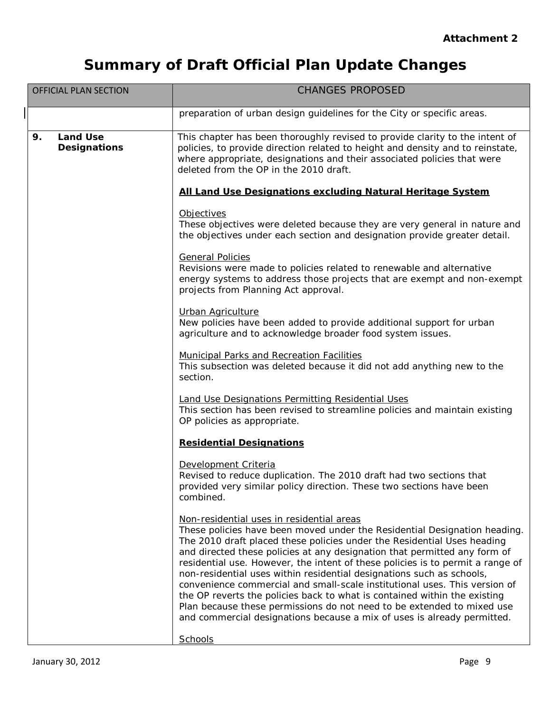| <b>OFFICIAL PLAN SECTION</b>                 | <b>CHANGES PROPOSED</b>                                                                                                                                                                                                                                                                                                                                                                                                                                                                                                                                                                                                                                                                                                                                   |
|----------------------------------------------|-----------------------------------------------------------------------------------------------------------------------------------------------------------------------------------------------------------------------------------------------------------------------------------------------------------------------------------------------------------------------------------------------------------------------------------------------------------------------------------------------------------------------------------------------------------------------------------------------------------------------------------------------------------------------------------------------------------------------------------------------------------|
|                                              | preparation of urban design guidelines for the City or specific areas.                                                                                                                                                                                                                                                                                                                                                                                                                                                                                                                                                                                                                                                                                    |
| <b>Land Use</b><br>9.<br><b>Designations</b> | This chapter has been thoroughly revised to provide clarity to the intent of<br>policies, to provide direction related to height and density and to reinstate,<br>where appropriate, designations and their associated policies that were<br>deleted from the OP in the 2010 draft.                                                                                                                                                                                                                                                                                                                                                                                                                                                                       |
|                                              | All Land Use Designations excluding Natural Heritage System                                                                                                                                                                                                                                                                                                                                                                                                                                                                                                                                                                                                                                                                                               |
|                                              | Objectives<br>These objectives were deleted because they are very general in nature and<br>the objectives under each section and designation provide greater detail.                                                                                                                                                                                                                                                                                                                                                                                                                                                                                                                                                                                      |
|                                              | <b>General Policies</b><br>Revisions were made to policies related to renewable and alternative<br>energy systems to address those projects that are exempt and non-exempt<br>projects from Planning Act approval.                                                                                                                                                                                                                                                                                                                                                                                                                                                                                                                                        |
|                                              | <b>Urban Agriculture</b><br>New policies have been added to provide additional support for urban<br>agriculture and to acknowledge broader food system issues.                                                                                                                                                                                                                                                                                                                                                                                                                                                                                                                                                                                            |
|                                              | <b>Municipal Parks and Recreation Facilities</b><br>This subsection was deleted because it did not add anything new to the<br>section.                                                                                                                                                                                                                                                                                                                                                                                                                                                                                                                                                                                                                    |
|                                              | <b>Land Use Designations Permitting Residential Uses</b><br>This section has been revised to streamline policies and maintain existing<br>OP policies as appropriate.                                                                                                                                                                                                                                                                                                                                                                                                                                                                                                                                                                                     |
|                                              | <b>Residential Designations</b>                                                                                                                                                                                                                                                                                                                                                                                                                                                                                                                                                                                                                                                                                                                           |
|                                              | Development Criteria<br>Revised to reduce duplication. The 2010 draft had two sections that<br>provided very similar policy direction. These two sections have been<br>combined.                                                                                                                                                                                                                                                                                                                                                                                                                                                                                                                                                                          |
|                                              | Non-residential uses in residential areas<br>These policies have been moved under the Residential Designation heading.<br>The 2010 draft placed these policies under the Residential Uses heading<br>and directed these policies at any designation that permitted any form of<br>residential use. However, the intent of these policies is to permit a range of<br>non-residential uses within residential designations such as schools,<br>convenience commercial and small-scale institutional uses. This version of<br>the OP reverts the policies back to what is contained within the existing<br>Plan because these permissions do not need to be extended to mixed use<br>and commercial designations because a mix of uses is already permitted. |
|                                              | Schools                                                                                                                                                                                                                                                                                                                                                                                                                                                                                                                                                                                                                                                                                                                                                   |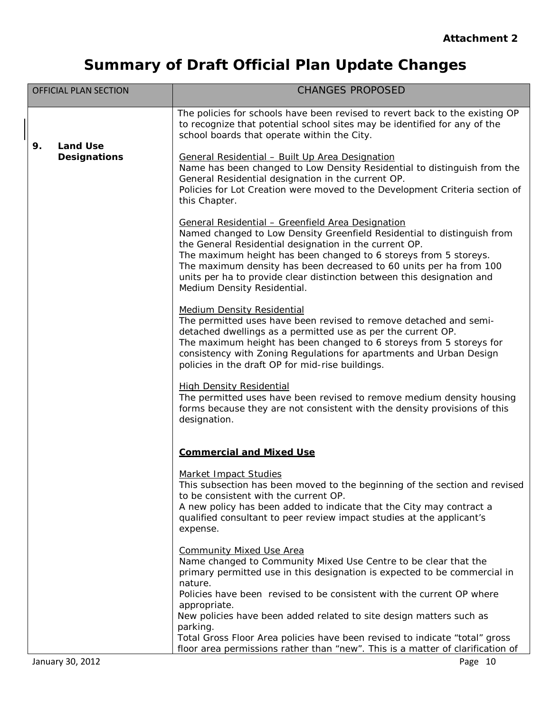| <b>OFFICIAL PLAN SECTION</b> | <b>CHANGES PROPOSED</b>                                                                                                                                                                                                                                                                                                                                                                                                                   |
|------------------------------|-------------------------------------------------------------------------------------------------------------------------------------------------------------------------------------------------------------------------------------------------------------------------------------------------------------------------------------------------------------------------------------------------------------------------------------------|
| <b>Land Use</b><br>9.        | The policies for schools have been revised to revert back to the existing OP<br>to recognize that potential school sites may be identified for any of the<br>school boards that operate within the City.                                                                                                                                                                                                                                  |
| <b>Designations</b>          | General Residential - Built Up Area Designation<br>Name has been changed to Low Density Residential to distinguish from the<br>General Residential designation in the current OP.<br>Policies for Lot Creation were moved to the Development Criteria section of<br>this Chapter.                                                                                                                                                         |
|                              | General Residential - Greenfield Area Designation<br>Named changed to Low Density Greenfield Residential to distinguish from<br>the General Residential designation in the current OP.<br>The maximum height has been changed to 6 storeys from 5 storeys.<br>The maximum density has been decreased to 60 units per ha from 100<br>units per ha to provide clear distinction between this designation and<br>Medium Density Residential. |
|                              | <b>Medium Density Residential</b><br>The permitted uses have been revised to remove detached and semi-<br>detached dwellings as a permitted use as per the current OP.<br>The maximum height has been changed to 6 storeys from 5 storeys for<br>consistency with Zoning Regulations for apartments and Urban Design<br>policies in the draft OP for mid-rise buildings.                                                                  |
|                              | <b>High Density Residential</b><br>The permitted uses have been revised to remove medium density housing<br>forms because they are not consistent with the density provisions of this<br>designation.                                                                                                                                                                                                                                     |
|                              | <b>Commercial and Mixed Use</b>                                                                                                                                                                                                                                                                                                                                                                                                           |
|                              | Market Impact Studies<br>This subsection has been moved to the beginning of the section and revised<br>to be consistent with the current OP.<br>A new policy has been added to indicate that the City may contract a<br>qualified consultant to peer review impact studies at the applicant's<br>expense.                                                                                                                                 |
|                              | <b>Community Mixed Use Area</b><br>Name changed to Community Mixed Use Centre to be clear that the<br>primary permitted use in this designation is expected to be commercial in<br>nature.                                                                                                                                                                                                                                                |
|                              | Policies have been revised to be consistent with the current OP where<br>appropriate.                                                                                                                                                                                                                                                                                                                                                     |
|                              | New policies have been added related to site design matters such as<br>parking.<br>Total Gross Floor Area policies have been revised to indicate "total" gross                                                                                                                                                                                                                                                                            |
| January 30, 2012             | floor area permissions rather than "new". This is a matter of clarification of<br>Page 10                                                                                                                                                                                                                                                                                                                                                 |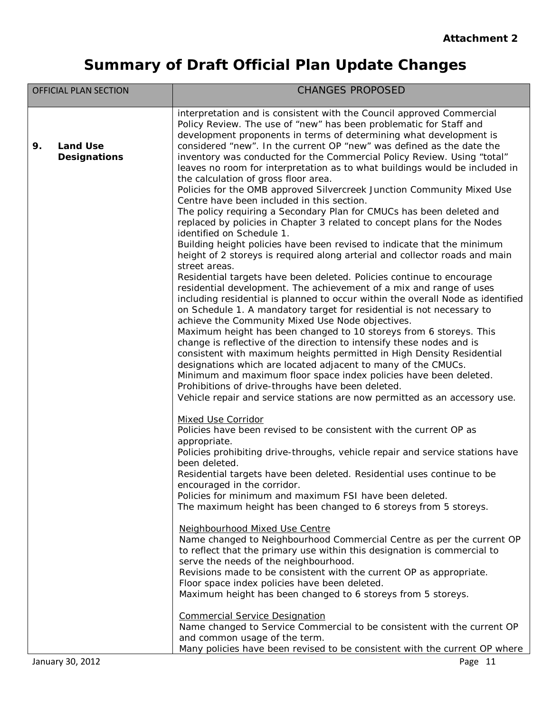|    | <b>OFFICIAL PLAN SECTION</b>           | <b>CHANGES PROPOSED</b>                                                                                                                                                                                                                                                                                                                                                                                                                                                                                                                                                                                                                                                                                                                                                                                                                                                                                                                                                                                                                                                                                                                                                                                                                                                                                                                                                                                                                                                                                                                                                                                                                                                                                        |
|----|----------------------------------------|----------------------------------------------------------------------------------------------------------------------------------------------------------------------------------------------------------------------------------------------------------------------------------------------------------------------------------------------------------------------------------------------------------------------------------------------------------------------------------------------------------------------------------------------------------------------------------------------------------------------------------------------------------------------------------------------------------------------------------------------------------------------------------------------------------------------------------------------------------------------------------------------------------------------------------------------------------------------------------------------------------------------------------------------------------------------------------------------------------------------------------------------------------------------------------------------------------------------------------------------------------------------------------------------------------------------------------------------------------------------------------------------------------------------------------------------------------------------------------------------------------------------------------------------------------------------------------------------------------------------------------------------------------------------------------------------------------------|
| 9. | <b>Land Use</b><br><b>Designations</b> | interpretation and is consistent with the Council approved Commercial<br>Policy Review. The use of "new" has been problematic for Staff and<br>development proponents in terms of determining what development is<br>considered "new". In the current OP "new" was defined as the date the<br>inventory was conducted for the Commercial Policy Review. Using "total"<br>leaves no room for interpretation as to what buildings would be included in<br>the calculation of gross floor area.<br>Policies for the OMB approved Silvercreek Junction Community Mixed Use<br>Centre have been included in this section.<br>The policy requiring a Secondary Plan for CMUCs has been deleted and<br>replaced by policies in Chapter 3 related to concept plans for the Nodes<br>identified on Schedule 1.<br>Building height policies have been revised to indicate that the minimum<br>height of 2 storeys is required along arterial and collector roads and main<br>street areas.<br>Residential targets have been deleted. Policies continue to encourage<br>residential development. The achievement of a mix and range of uses<br>including residential is planned to occur within the overall Node as identified<br>on Schedule 1. A mandatory target for residential is not necessary to<br>achieve the Community Mixed Use Node objectives.<br>Maximum height has been changed to 10 storeys from 6 storeys. This<br>change is reflective of the direction to intensify these nodes and is<br>consistent with maximum heights permitted in High Density Residential<br>designations which are located adjacent to many of the CMUCs.<br>Minimum and maximum floor space index policies have been deleted. |
|    | January 30, 2012                       | Prohibitions of drive-throughs have been deleted.<br>Vehicle repair and service stations are now permitted as an accessory use.<br>Mixed Use Corridor<br>Policies have been revised to be consistent with the current OP as<br>appropriate.<br>Policies prohibiting drive-throughs, vehicle repair and service stations have<br>been deleted.<br>Residential targets have been deleted. Residential uses continue to be<br>encouraged in the corridor.<br>Policies for minimum and maximum FSI have been deleted.<br>The maximum height has been changed to 6 storeys from 5 storeys.<br>Neighbourhood Mixed Use Centre<br>Name changed to Neighbourhood Commercial Centre as per the current OP<br>to reflect that the primary use within this designation is commercial to<br>serve the needs of the neighbourhood.<br>Revisions made to be consistent with the current OP as appropriate.<br>Floor space index policies have been deleted.<br>Maximum height has been changed to 6 storeys from 5 storeys.<br><b>Commercial Service Designation</b><br>Name changed to Service Commercial to be consistent with the current OP<br>and common usage of the term.<br>Many policies have been revised to be consistent with the current OP where<br>Page 11                                                                                                                                                                                                                                                                                                                                                                                                                                                    |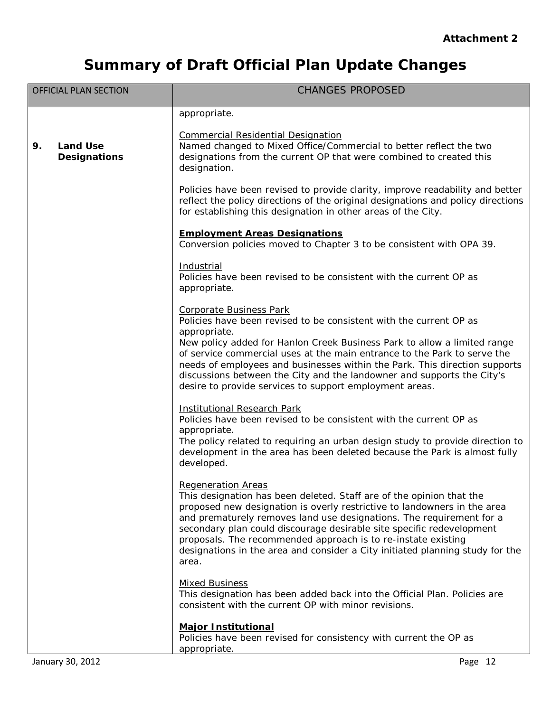| <b>OFFICIAL PLAN SECTION</b>                 | <b>CHANGES PROPOSED</b>                                                                                                                                                                                                                                                                                                                                                                                                                                                                   |
|----------------------------------------------|-------------------------------------------------------------------------------------------------------------------------------------------------------------------------------------------------------------------------------------------------------------------------------------------------------------------------------------------------------------------------------------------------------------------------------------------------------------------------------------------|
|                                              | appropriate.                                                                                                                                                                                                                                                                                                                                                                                                                                                                              |
| <b>Land Use</b><br>9.<br><b>Designations</b> | <b>Commercial Residential Designation</b><br>Named changed to Mixed Office/Commercial to better reflect the two<br>designations from the current OP that were combined to created this<br>designation.                                                                                                                                                                                                                                                                                    |
|                                              | Policies have been revised to provide clarity, improve readability and better<br>reflect the policy directions of the original designations and policy directions<br>for establishing this designation in other areas of the City.                                                                                                                                                                                                                                                        |
|                                              | <b>Employment Areas Designations</b><br>Conversion policies moved to Chapter 3 to be consistent with OPA 39.                                                                                                                                                                                                                                                                                                                                                                              |
|                                              | Industrial<br>Policies have been revised to be consistent with the current OP as<br>appropriate.                                                                                                                                                                                                                                                                                                                                                                                          |
|                                              | <b>Corporate Business Park</b><br>Policies have been revised to be consistent with the current OP as<br>appropriate.                                                                                                                                                                                                                                                                                                                                                                      |
|                                              | New policy added for Hanlon Creek Business Park to allow a limited range<br>of service commercial uses at the main entrance to the Park to serve the<br>needs of employees and businesses within the Park. This direction supports<br>discussions between the City and the landowner and supports the City's<br>desire to provide services to support employment areas.                                                                                                                   |
|                                              | <b>Institutional Research Park</b><br>Policies have been revised to be consistent with the current OP as<br>appropriate.<br>The policy related to requiring an urban design study to provide direction to<br>development in the area has been deleted because the Park is almost fully<br>developed.                                                                                                                                                                                      |
|                                              | <b>Regeneration Areas</b><br>This designation has been deleted. Staff are of the opinion that the<br>proposed new designation is overly restrictive to landowners in the area<br>and prematurely removes land use designations. The requirement for a<br>secondary plan could discourage desirable site specific redevelopment<br>proposals. The recommended approach is to re-instate existing<br>designations in the area and consider a City initiated planning study for the<br>area. |
|                                              | <b>Mixed Business</b><br>This designation has been added back into the Official Plan. Policies are<br>consistent with the current OP with minor revisions.                                                                                                                                                                                                                                                                                                                                |
|                                              | <b>Major Institutional</b><br>Policies have been revised for consistency with current the OP as<br>appropriate.                                                                                                                                                                                                                                                                                                                                                                           |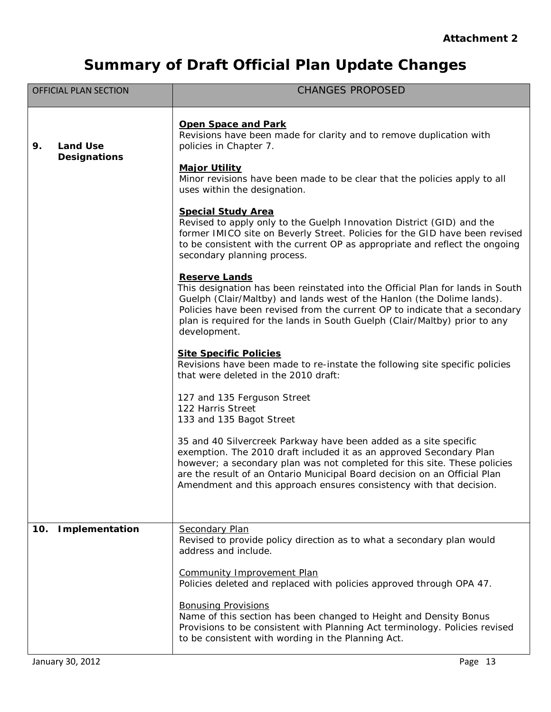| <b>OFFICIAL PLAN SECTION</b>                 | <b>CHANGES PROPOSED</b>                                                                                                                                                                                                                                                                                                                                                   |
|----------------------------------------------|---------------------------------------------------------------------------------------------------------------------------------------------------------------------------------------------------------------------------------------------------------------------------------------------------------------------------------------------------------------------------|
| <b>Land Use</b><br>9.<br><b>Designations</b> | <b>Open Space and Park</b><br>Revisions have been made for clarity and to remove duplication with<br>policies in Chapter 7.<br><b>Major Utility</b><br>Minor revisions have been made to be clear that the policies apply to all<br>uses within the designation.                                                                                                          |
|                                              | <b>Special Study Area</b><br>Revised to apply only to the Guelph Innovation District (GID) and the<br>former IMICO site on Beverly Street. Policies for the GID have been revised<br>to be consistent with the current OP as appropriate and reflect the ongoing<br>secondary planning process.                                                                           |
|                                              | <b>Reserve Lands</b><br>This designation has been reinstated into the Official Plan for lands in South<br>Guelph (Clair/Maltby) and lands west of the Hanlon (the Dolime lands).<br>Policies have been revised from the current OP to indicate that a secondary<br>plan is required for the lands in South Guelph (Clair/Maltby) prior to any<br>development.             |
|                                              | <b>Site Specific Policies</b><br>Revisions have been made to re-instate the following site specific policies<br>that were deleted in the 2010 draft:                                                                                                                                                                                                                      |
|                                              | 127 and 135 Ferguson Street<br>122 Harris Street<br>133 and 135 Bagot Street                                                                                                                                                                                                                                                                                              |
|                                              | 35 and 40 Silvercreek Parkway have been added as a site specific<br>exemption. The 2010 draft included it as an approved Secondary Plan<br>however; a secondary plan was not completed for this site. These policies<br>are the result of an Ontario Municipal Board decision on an Official Plan<br>Amendment and this approach ensures consistency with that decision.  |
| 10.<br>Implementation                        | <b>Secondary Plan</b><br>Revised to provide policy direction as to what a secondary plan would                                                                                                                                                                                                                                                                            |
|                                              | address and include.<br><b>Community Improvement Plan</b><br>Policies deleted and replaced with policies approved through OPA 47.<br><b>Bonusing Provisions</b><br>Name of this section has been changed to Height and Density Bonus<br>Provisions to be consistent with Planning Act terminology. Policies revised<br>to be consistent with wording in the Planning Act. |